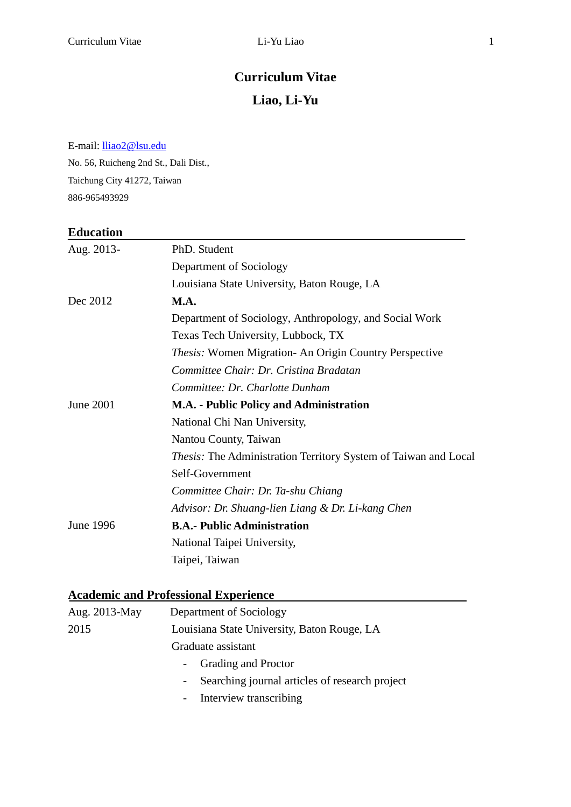### **Curriculum Vitae**

### **Liao, Li-Yu**

E-mail[: lliao2@lsu.edu](mailto:lliao2@lsu.edu) 

No. 56, Ruicheng 2nd St., Dali Dist., Taichung City 41272, Taiwan 886-965493929

#### **Education**

| Aug. 2013-  | PhD. Student                                                           |
|-------------|------------------------------------------------------------------------|
|             | Department of Sociology                                                |
|             | Louisiana State University, Baton Rouge, LA                            |
| Dec 2012    | M.A.                                                                   |
|             | Department of Sociology, Anthropology, and Social Work                 |
|             | Texas Tech University, Lubbock, TX                                     |
|             | Thesis: Women Migration- An Origin Country Perspective                 |
|             | Committee Chair: Dr. Cristina Bradatan                                 |
|             | Committee: Dr. Charlotte Dunham                                        |
| June $2001$ | M.A. - Public Policy and Administration                                |
|             | National Chi Nan University,                                           |
|             | Nantou County, Taiwan                                                  |
|             | <i>Thesis:</i> The Administration Territory System of Taiwan and Local |
|             | Self-Government                                                        |
|             | Committee Chair: Dr. Ta-shu Chiang                                     |
|             | Advisor: Dr. Shuang-lien Liang & Dr. Li-kang Chen                      |
| June 1996   | <b>B.A.- Public Administration</b>                                     |
|             | National Taipei University,                                            |
|             | Taipei, Taiwan                                                         |

# **Academic and Professional Experience**

| Aug. 2013-May | Department of Sociology                                  |
|---------------|----------------------------------------------------------|
| 2015          | Louisiana State University, Baton Rouge, LA              |
|               | Graduate assistant                                       |
|               | - Grading and Proctor                                    |
|               | Searching journal articles of research project<br>$\sim$ |
|               |                                                          |

- Interview transcribing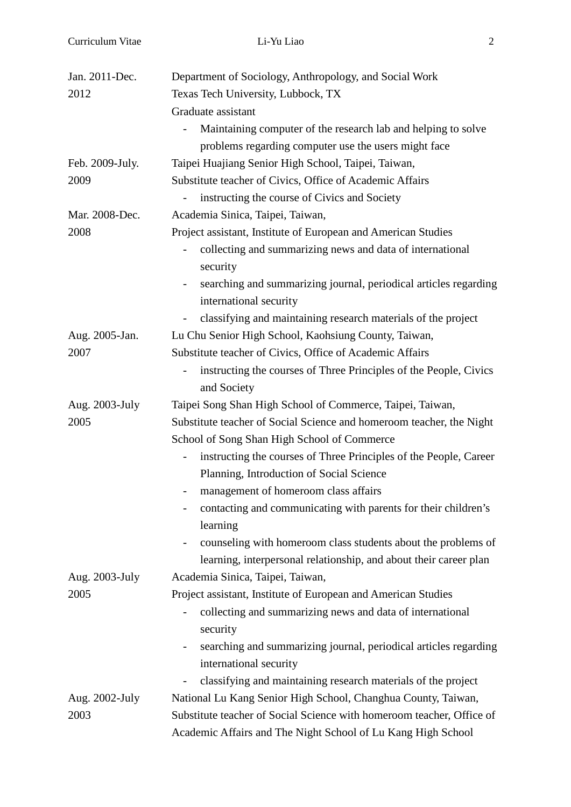| Jan. 2011-Dec.  | Department of Sociology, Anthropology, and Social Work                                                                 |
|-----------------|------------------------------------------------------------------------------------------------------------------------|
| 2012            | Texas Tech University, Lubbock, TX                                                                                     |
|                 | Graduate assistant                                                                                                     |
|                 | Maintaining computer of the research lab and helping to solve<br>$\overline{\phantom{0}}$                              |
|                 | problems regarding computer use the users might face                                                                   |
| Feb. 2009-July. | Taipei Huajiang Senior High School, Taipei, Taiwan,                                                                    |
| 2009            | Substitute teacher of Civics, Office of Academic Affairs                                                               |
|                 | instructing the course of Civics and Society<br>$\overline{\phantom{0}}$                                               |
| Mar. 2008-Dec.  | Academia Sinica, Taipei, Taiwan,                                                                                       |
| 2008            | Project assistant, Institute of European and American Studies                                                          |
|                 | collecting and summarizing news and data of international                                                              |
|                 | security                                                                                                               |
|                 | searching and summarizing journal, periodical articles regarding<br>$\overline{\phantom{0}}$<br>international security |
|                 | classifying and maintaining research materials of the project                                                          |
| Aug. 2005-Jan.  | Lu Chu Senior High School, Kaohsiung County, Taiwan,                                                                   |
| 2007            | Substitute teacher of Civics, Office of Academic Affairs                                                               |
|                 | instructing the courses of Three Principles of the People, Civics<br>$\overline{\phantom{0}}$<br>and Society           |
| Aug. 2003-July  | Taipei Song Shan High School of Commerce, Taipei, Taiwan,                                                              |
| 2005            | Substitute teacher of Social Science and homeroom teacher, the Night                                                   |
|                 | School of Song Shan High School of Commerce                                                                            |
|                 | instructing the courses of Three Principles of the People, Career<br>$\overline{\phantom{0}}$                          |
|                 | Planning, Introduction of Social Science                                                                               |
|                 | management of homeroom class affairs                                                                                   |
|                 | contacting and communicating with parents for their children's<br>learning                                             |
|                 | counseling with homeroom class students about the problems of<br>$\overline{\phantom{0}}$                              |
|                 | learning, interpersonal relationship, and about their career plan                                                      |
| Aug. 2003-July  | Academia Sinica, Taipei, Taiwan,                                                                                       |
| 2005            | Project assistant, Institute of European and American Studies                                                          |
|                 | collecting and summarizing news and data of international                                                              |
|                 | security                                                                                                               |
|                 | searching and summarizing journal, periodical articles regarding<br>$\overline{\phantom{0}}$                           |
|                 | international security                                                                                                 |
|                 | classifying and maintaining research materials of the project                                                          |
| Aug. 2002-July  | National Lu Kang Senior High School, Changhua County, Taiwan,                                                          |
| 2003            | Substitute teacher of Social Science with homeroom teacher, Office of                                                  |
|                 | Academic Affairs and The Night School of Lu Kang High School                                                           |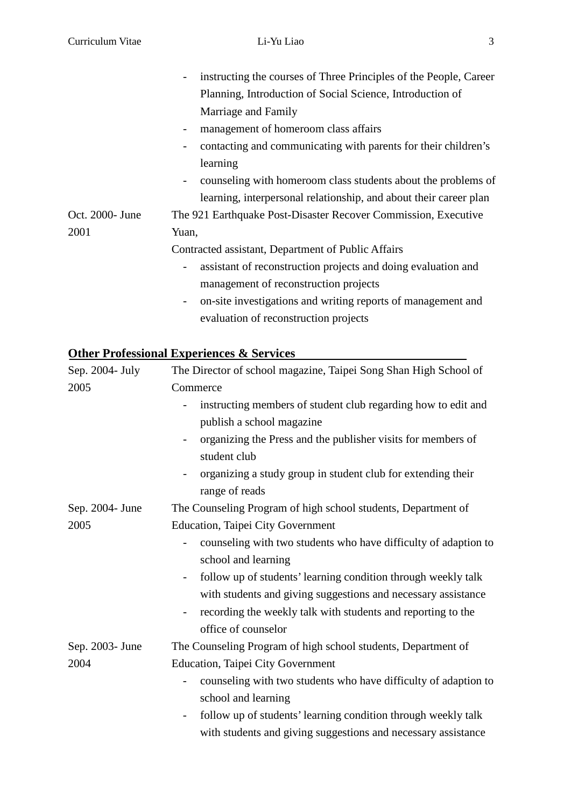|                 | instructing the courses of Three Principles of the People, Career                        |
|-----------------|------------------------------------------------------------------------------------------|
|                 | Planning, Introduction of Social Science, Introduction of                                |
|                 | Marriage and Family                                                                      |
|                 | management of homeroom class affairs                                                     |
|                 | contacting and communicating with parents for their children's                           |
|                 | learning                                                                                 |
|                 | counseling with homeroom class students about the problems of<br>-                       |
|                 | learning, interpersonal relationship, and about their career plan                        |
| Oct. 2000- June | The 921 Earthquake Post-Disaster Recover Commission, Executive                           |
| 2001            | Yuan,                                                                                    |
|                 | Contracted assistant, Department of Public Affairs                                       |
|                 | assistant of reconstruction projects and doing evaluation and                            |
|                 | management of reconstruction projects                                                    |
|                 | on-site investigations and writing reports of management and<br>$\overline{\phantom{a}}$ |
|                 | evaluation of reconstruction projects                                                    |

# **Other Professional Experiences & Services**

| Sep. 2004- July | The Director of school magazine, Taipei Song Shan High School of                             |
|-----------------|----------------------------------------------------------------------------------------------|
| 2005            | Commerce                                                                                     |
|                 | instructing members of student club regarding how to edit and                                |
|                 | publish a school magazine                                                                    |
|                 | organizing the Press and the publisher visits for members of<br>student club                 |
|                 | organizing a study group in student club for extending their                                 |
|                 | range of reads                                                                               |
| Sep. 2004- June | The Counseling Program of high school students, Department of                                |
| 2005            | <b>Education, Taipei City Government</b>                                                     |
|                 | counseling with two students who have difficulty of adaption to<br>$\overline{a}$            |
|                 | school and learning                                                                          |
|                 | follow up of students' learning condition through weekly talk<br>$\overline{\phantom{a}}$    |
|                 | with students and giving suggestions and necessary assistance                                |
|                 | recording the weekly talk with students and reporting to the<br>$\qquad \qquad \blacksquare$ |
|                 | office of counselor                                                                          |
| Sep. 2003- June | The Counseling Program of high school students, Department of                                |
| 2004            | <b>Education, Taipei City Government</b>                                                     |
|                 | counseling with two students who have difficulty of adaption to<br>$\overline{\phantom{0}}$  |
|                 | school and learning                                                                          |
|                 | follow up of students' learning condition through weekly talk<br>$\qquad \qquad -$           |
|                 | with students and giving suggestions and necessary assistance                                |